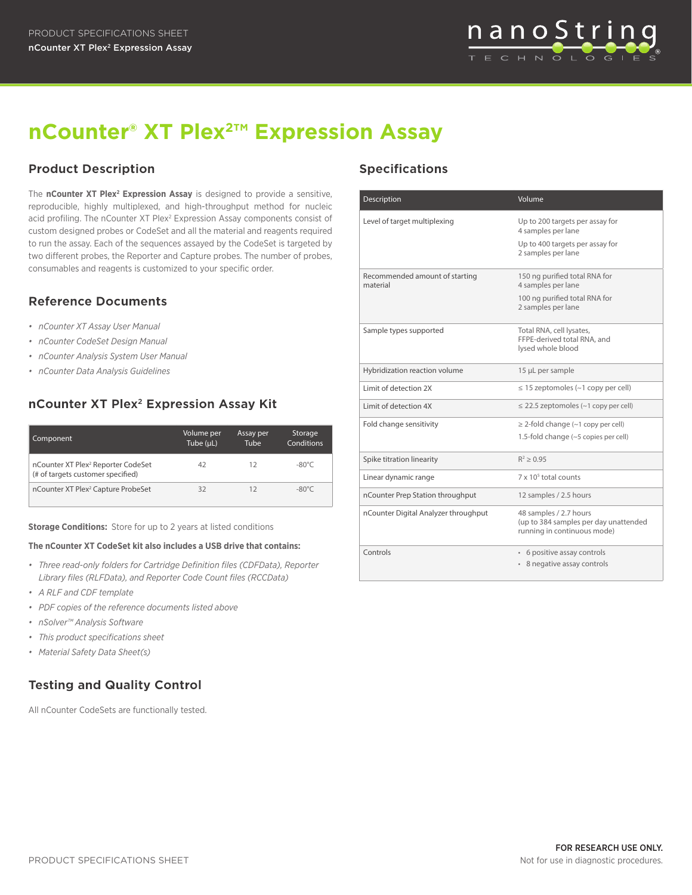

# **nCounter® XT Plex2™ Expression Assay**

## **Product Description Specifications**

The **nCounter XT Plex<sup>2</sup> Expression Assay** is designed to provide a sensitive, reproducible, highly multiplexed, and high-throughput method for nucleic acid profiling. The nCounter XT Plex<sup>2</sup> Expression Assay components consist of custom designed probes or CodeSet and all the material and reagents required to run the assay. Each of the sequences assayed by the CodeSet is targeted by two different probes, the Reporter and Capture probes. The number of probes, consumables and reagents is customized to your specific order.

### **Reference Documents**

- *• nCounter XT Assay User Manual*
- *• nCounter CodeSet Design Manual*
- *• nCounter Analysis System User Manual*
- *• nCounter Data Analysis Guidelines*

# **nCounter XT Plex2 Expression Assay Kit**

| Component                                                                           | Volume per<br>Tube (µL) | Assay per<br>Tube | Storage<br>Conditions |
|-------------------------------------------------------------------------------------|-------------------------|-------------------|-----------------------|
| nCounter XT Plex <sup>2</sup> Reporter CodeSet<br>(# of targets customer specified) | 42                      | 12                | $-80^{\circ}$ C       |
| nCounter XT Plex <sup>2</sup> Capture ProbeSet                                      | 32                      |                   | $-80^{\circ}$ C       |

**Storage Conditions:** Store for up to 2 years at listed conditions

#### **The nCounter XT CodeSet kit also includes a USB drive that contains:**

- *• Three read-only folders for Cartridge Definition files (CDFData), Reporter Library files (RLFData), and Reporter Code Count files (RCCData)*
- *• A RLF and CDF template*
- *• PDF copies of the reference documents listed above*
- *• nSolver™ Analysis Software*
- *• This product specifications sheet*
- *• Material Safety Data Sheet(s)*

# **Testing and Quality Control**

All nCounter CodeSets are functionally tested.

| Description                                | Volume                                                                                         |
|--------------------------------------------|------------------------------------------------------------------------------------------------|
| Level of target multiplexing               | Up to 200 targets per assay for<br>4 samples per lane                                          |
|                                            | Up to 400 targets per assay for<br>2 samples per lane                                          |
| Recommended amount of starting<br>material | 150 ng purified total RNA for<br>4 samples per lane                                            |
|                                            | 100 ng purified total RNA for<br>2 samples per lane                                            |
| Sample types supported                     | Total RNA, cell lysates,<br>FFPE-derived total RNA, and<br>lysed whole blood                   |
| Hybridization reaction volume              | 15 µL per sample                                                                               |
| Limit of detection 2X                      | $\leq$ 15 zeptomoles (~1 copy per cell)                                                        |
| Limit of detection 4X                      | $\leq$ 22.5 zeptomoles (~1 copy per cell)                                                      |
| Fold change sensitivity                    | $\geq$ 2-fold change (~1 copy per cell)                                                        |
|                                            | 1.5-fold change (~5 copies per cell)                                                           |
| Spike titration linearity                  | $R^2 > 0.95$                                                                                   |
| Linear dynamic range                       | 7 x 10 <sup>5</sup> total counts                                                               |
| nCounter Prep Station throughput           | 12 samples / 2.5 hours                                                                         |
| nCounter Digital Analyzer throughput       | 48 samples / 2.7 hours<br>(up to 384 samples per day unattended<br>running in continuous mode) |
| Controls                                   | • 6 positive assay controls<br>• 8 negative assay controls                                     |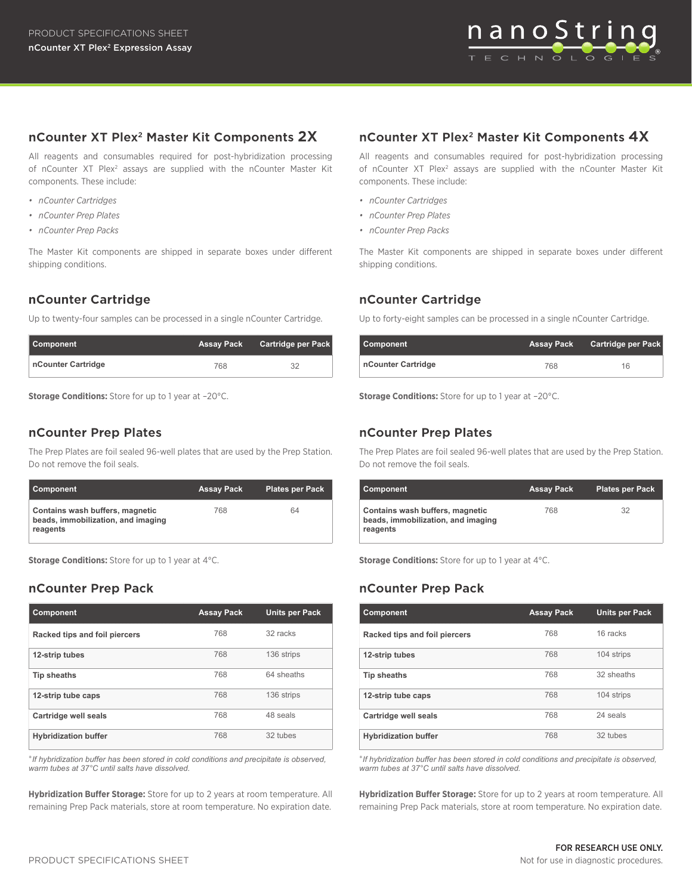

### **nCounter XT Plex2 Master Kit Components 2X**

All reagents and consumables required for post-hybridization processing of nCounter XT Plex<sup>2</sup> assays are supplied with the nCounter Master Kit components. These include:

- *• nCounter Cartridges*
- *• nCounter Prep Plates*
- *• nCounter Prep Packs*

The Master Kit components are shipped in separate boxes under different shipping conditions.

#### **nCounter Cartridge**

Up to twenty-four samples can be processed in a single nCounter Cartridge.

| Component          | <b>Assay Pack</b> | Cartridge per Pack |
|--------------------|-------------------|--------------------|
| nCounter Cartridge | 768               |                    |

**Storage Conditions:** Store for up to 1 year at -20°C.

#### **nCounter Prep Plates**

The Prep Plates are foil sealed 96-well plates that are used by the Prep Station. Do not remove the foil seals.

| Component                                                                         | Assay Pack | <b>Plates per Pack</b> |
|-----------------------------------------------------------------------------------|------------|------------------------|
| Contains wash buffers, magnetic<br>beads, immobilization, and imaging<br>reagents | 768        | 64                     |

**Storage Conditions:** Store for up to 1 year at 4°C.

#### **nCounter Prep Pack**

| <b>Component</b>              | <b>Assay Pack</b> | <b>Units per Pack</b> |
|-------------------------------|-------------------|-----------------------|
| Racked tips and foil piercers | 768               | 32 racks              |
| 12-strip tubes                | 768               | 136 strips            |
| <b>Tip sheaths</b>            | 768               | 64 sheaths            |
| 12-strip tube caps            | 768               | 136 strips            |
| Cartridge well seals          | 768               | 48 seals              |
| <b>Hybridization buffer</b>   | 768               | 32 tubes              |

\**If hybridization buffer has been stored in cold conditions and precipitate is observed, warm tubes at 37°C until salts have dissolved.*

**Hybridization Buffer Storage:** Store for up to 2 years at room temperature. All remaining Prep Pack materials, store at room temperature. No expiration date.

#### **nCounter XT Plex2 Master Kit Components 4X**

All reagents and consumables required for post-hybridization processing of nCounter XT Plex<sup>2</sup> assays are supplied with the nCounter Master Kit components. These include:

- *• nCounter Cartridges*
- *• nCounter Prep Plates*
- *• nCounter Prep Packs*

The Master Kit components are shipped in separate boxes under different shipping conditions.

#### **nCounter Cartridge**

Up to forty-eight samples can be processed in a single nCounter Cartridge.

| Component          | Assay Pack | <b>Cartridge per Pack</b> |
|--------------------|------------|---------------------------|
| nCounter Cartridge | 768        | 16                        |

**Storage Conditions:** Store for up to 1 year at –20°C.

#### **nCounter Prep Plates**

The Prep Plates are foil sealed 96-well plates that are used by the Prep Station. Do not remove the foil seals.

| Component                                                                         | <b>Assay Pack</b> | <b>Plates per Pack</b> |
|-----------------------------------------------------------------------------------|-------------------|------------------------|
| Contains wash buffers, magnetic<br>beads, immobilization, and imaging<br>reagents | 768               | 32                     |

**Storage Conditions:** Store for up to 1 year at 4°C.

#### **nCounter Prep Pack**

| <b>Component</b>              | <b>Assay Pack</b> | <b>Units per Pack</b> |
|-------------------------------|-------------------|-----------------------|
| Racked tips and foil piercers | 768               | 16 racks              |
| 12-strip tubes                | 768               | 104 strips            |
| Tip sheaths                   | 768               | 32 sheaths            |
| 12-strip tube caps            | 768               | 104 strips            |
| Cartridge well seals          | 768               | 24 seals              |
| <b>Hybridization buffer</b>   | 768               | 32 tubes              |

\**If hybridization buffer has been stored in cold conditions and precipitate is observed, warm tubes at 37°C until salts have dissolved.*

**Hybridization Buffer Storage:** Store for up to 2 years at room temperature. All remaining Prep Pack materials, store at room temperature. No expiration date.